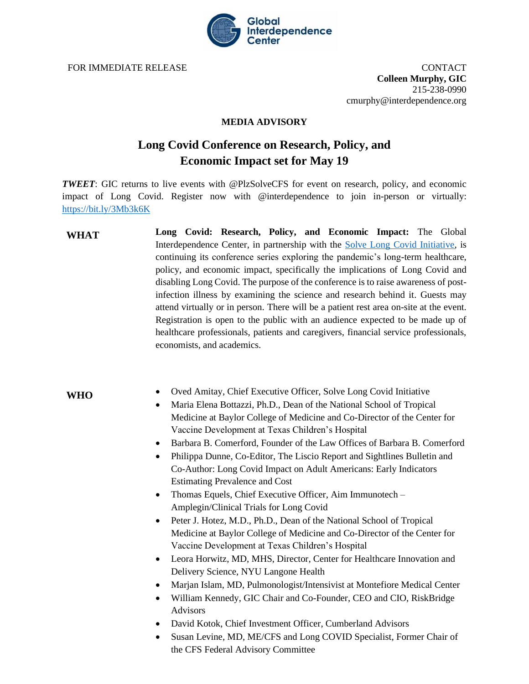

FOR IMMEDIATE RELEASE CONTACT

**Colleen Murphy, GIC** 215-238-0990 cmurphy@interdependence.org

## **MEDIA ADVISORY**

## **Long Covid Conference on Research, Policy, and Economic Impact set for May 19**

*TWEET*: GIC returns to live events with @PlzSolveCFS for event on research, policy, and economic impact of Long Covid. Register now with [@interdependence](https://twitter.com/Interdependence) to join in-person or virtually: <https://bit.ly/3Mb3k6K>

**Long Covid: Research, Policy, and Economic Impact:** The Global Interdependence Center, in partnership with the [Solve Long Covid Initiative,](https://solvecfs.org/the-solve-long-covid-initiative/) is continuing its conference series exploring the pandemic's long-term healthcare, policy, and economic impact, specifically the implications of Long Covid and disabling Long Covid. The purpose of the conference is to raise awareness of postinfection illness by examining the science and research behind it. Guests may attend virtually or in person. There will be a patient rest area on-site at the event. Registration is open to the public with an audience expected to be made up of healthcare professionals, patients and caregivers, financial service professionals, economists, and academics. **WHAT**

## **WHO**

- Oved Amitay, Chief Executive Officer, Solve Long Covid Initiative
- Maria Elena Bottazzi, Ph.D., Dean of the National School of Tropical Medicine at Baylor College of Medicine and Co-Director of the Center for Vaccine Development at Texas Children's Hospital
- Barbara B. Comerford, Founder of the Law Offices of Barbara B. Comerford
- Philippa Dunne, Co-Editor, The Liscio Report and Sightlines Bulletin and Co-Author: Long Covid Impact on Adult Americans: Early Indicators Estimating Prevalence and Cost
- Thomas Equels, Chief Executive Officer, Aim Immunotech Amplegin/Clinical Trials for Long Covid
- Peter J. Hotez, M.D., Ph.D., Dean of the National School of Tropical Medicine at Baylor College of Medicine and Co-Director of the Center for Vaccine Development at Texas Children's Hospital
- Leora Horwitz, MD, MHS, Director, Center for Healthcare Innovation and Delivery Science, NYU Langone Health
- Marjan Islam, MD, Pulmonologist/Intensivist at Montefiore Medical Center
- William Kennedy, GIC Chair and Co-Founder, CEO and CIO, RiskBridge Advisors
- David Kotok, Chief Investment Officer, Cumberland Advisors
- Susan Levine, MD, ME/CFS and Long COVID Specialist, Former Chair of the CFS Federal Advisory Committee